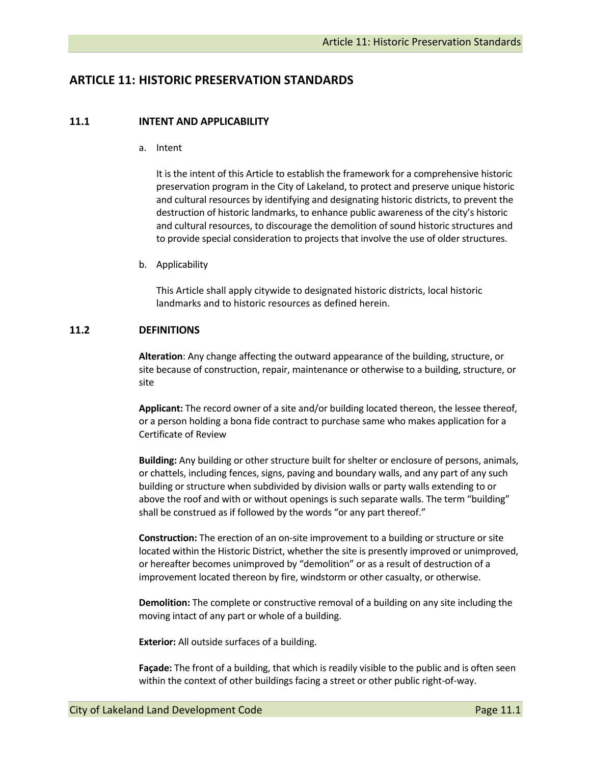# **ARTICLE 11: HISTORIC PRESERVATION STANDARDS**

### **11.1 INTENT AND APPLICABILITY**

a. Intent

It is the intent of this Article to establish the framework for a comprehensive historic preservation program in the City of Lakeland, to protect and preserve unique historic and cultural resources by identifying and designating historic districts, to prevent the destruction of historic landmarks, to enhance public awareness of the city's historic and cultural resources, to discourage the demolition of sound historic structures and to provide special consideration to projects that involve the use of older structures.

b. Applicability

This Article shall apply citywide to designated historic districts, local historic landmarks and to historic resources as defined herein.

### **11.2 DEFINITIONS**

**Alteration**: Any change affecting the outward appearance of the building, structure, or site because of construction, repair, maintenance or otherwise to a building, structure, or site

**Applicant:** The record owner of a site and/or building located thereon, the lessee thereof, or a person holding a bona fide contract to purchase same who makes application for a Certificate of Review

**Building:** Any building or other structure built for shelter or enclosure of persons, animals, or chattels, including fences, signs, paving and boundary walls, and any part of any such building or structure when subdivided by division walls or party walls extending to or above the roof and with or without openings is such separate walls. The term "building" shall be construed as if followed by the words "or any part thereof."

**Construction:** The erection of an on‐site improvement to a building or structure or site located within the Historic District, whether the site is presently improved or unimproved, or hereafter becomes unimproved by "demolition" or as a result of destruction of a improvement located thereon by fire, windstorm or other casualty, or otherwise.

**Demolition:** The complete or constructive removal of a building on any site including the moving intact of any part or whole of a building.

**Exterior:** All outside surfaces of a building.

**Façade:** The front of a building, that which is readily visible to the public and is often seen within the context of other buildings facing a street or other public right-of-way.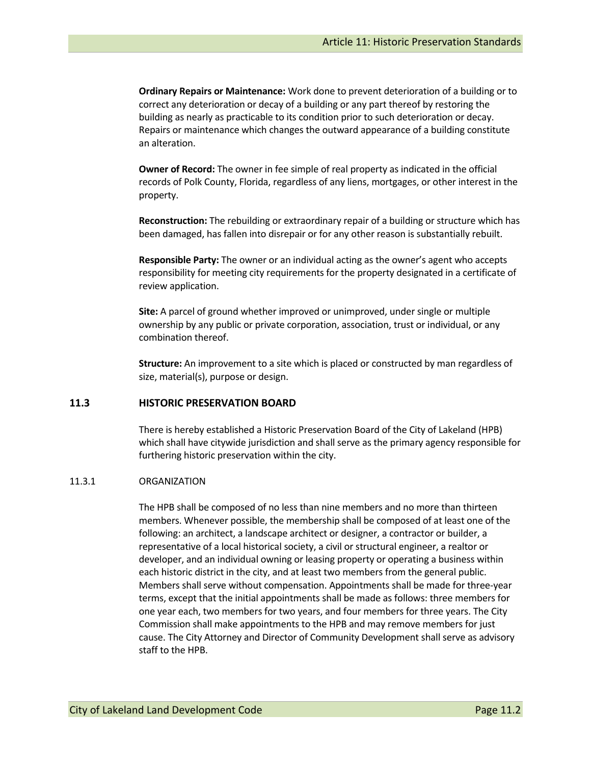**Ordinary Repairs or Maintenance:** Work done to prevent deterioration of a building or to correct any deterioration or decay of a building or any part thereof by restoring the building as nearly as practicable to its condition prior to such deterioration or decay. Repairs or maintenance which changes the outward appearance of a building constitute an alteration.

**Owner of Record:** The owner in fee simple of real property as indicated in the official records of Polk County, Florida, regardless of any liens, mortgages, or other interest in the property.

**Reconstruction:** The rebuilding or extraordinary repair of a building or structure which has been damaged, has fallen into disrepair or for any other reason is substantially rebuilt.

**Responsible Party:** The owner or an individual acting as the owner's agent who accepts responsibility for meeting city requirements for the property designated in a certificate of review application.

**Site:** A parcel of ground whether improved or unimproved, under single or multiple ownership by any public or private corporation, association, trust or individual, or any combination thereof.

**Structure:** An improvement to a site which is placed or constructed by man regardless of size, material(s), purpose or design.

### **11.3 HISTORIC PRESERVATION BOARD**

There is hereby established a Historic Preservation Board of the City of Lakeland (HPB) which shall have citywide jurisdiction and shall serve as the primary agency responsible for furthering historic preservation within the city.

#### 11.3.1 ORGANIZATION

The HPB shall be composed of no less than nine members and no more than thirteen members. Whenever possible, the membership shall be composed of at least one of the following: an architect, a landscape architect or designer, a contractor or builder, a representative of a local historical society, a civil or structural engineer, a realtor or developer, and an individual owning or leasing property or operating a business within each historic district in the city, and at least two members from the general public. Members shall serve without compensation. Appointments shall be made for three‐year terms, except that the initial appointments shall be made as follows: three members for one year each, two members for two years, and four members for three years. The City Commission shall make appointments to the HPB and may remove members for just cause. The City Attorney and Director of Community Development shall serve as advisory staff to the HPB.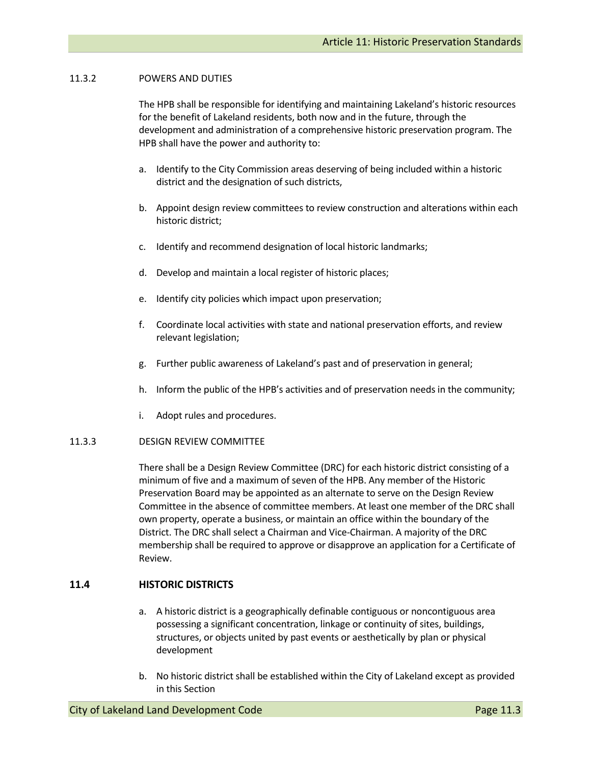### 11.3.2 POWERS AND DUTIES

The HPB shall be responsible for identifying and maintaining Lakeland's historic resources for the benefit of Lakeland residents, both now and in the future, through the development and administration of a comprehensive historic preservation program. The HPB shall have the power and authority to:

- a. Identify to the City Commission areas deserving of being included within a historic district and the designation of such districts,
- b. Appoint design review committees to review construction and alterations within each historic district;
- c. Identify and recommend designation of local historic landmarks;
- d. Develop and maintain a local register of historic places;
- e. Identify city policies which impact upon preservation;
- f. Coordinate local activities with state and national preservation efforts, and review relevant legislation;
- g. Further public awareness of Lakeland's past and of preservation in general;
- h. Inform the public of the HPB's activities and of preservation needs in the community;
- i. Adopt rules and procedures.

#### 11.3.3 DESIGN REVIEW COMMITTEE

There shall be a Design Review Committee (DRC) for each historic district consisting of a minimum of five and a maximum of seven of the HPB. Any member of the Historic Preservation Board may be appointed as an alternate to serve on the Design Review Committee in the absence of committee members. At least one member of the DRC shall own property, operate a business, or maintain an office within the boundary of the District. The DRC shall select a Chairman and Vice‐Chairman. A majority of the DRC membership shall be required to approve or disapprove an application for a Certificate of Review.

# **11.4 HISTORIC DISTRICTS**

- a. A historic district is a geographically definable contiguous or noncontiguous area possessing a significant concentration, linkage or continuity of sites, buildings, structures, or objects united by past events or aesthetically by plan or physical development
- b. No historic district shall be established within the City of Lakeland except as provided in this Section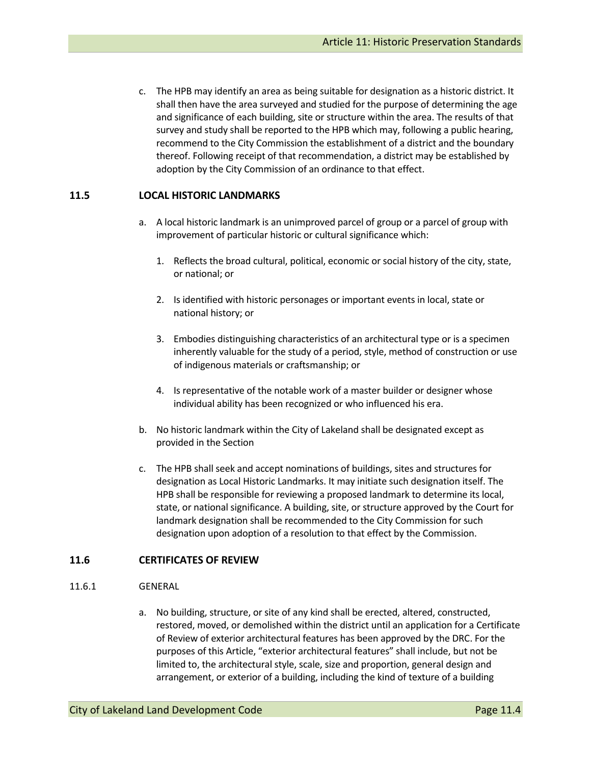c. The HPB may identify an area as being suitable for designation as a historic district. It shall then have the area surveyed and studied for the purpose of determining the age and significance of each building, site or structure within the area. The results of that survey and study shall be reported to the HPB which may, following a public hearing, recommend to the City Commission the establishment of a district and the boundary thereof. Following receipt of that recommendation, a district may be established by adoption by the City Commission of an ordinance to that effect.

### **11.5 LOCAL HISTORIC LANDMARKS**

- a. A local historic landmark is an unimproved parcel of group or a parcel of group with improvement of particular historic or cultural significance which:
	- 1. Reflects the broad cultural, political, economic or social history of the city, state, or national; or
	- 2. Is identified with historic personages or important events in local, state or national history; or
	- 3. Embodies distinguishing characteristics of an architectural type or is a specimen inherently valuable for the study of a period, style, method of construction or use of indigenous materials or craftsmanship; or
	- 4. Is representative of the notable work of a master builder or designer whose individual ability has been recognized or who influenced his era.
- b. No historic landmark within the City of Lakeland shall be designated except as provided in the Section
- c. The HPB shall seek and accept nominations of buildings, sites and structures for designation as Local Historic Landmarks. It may initiate such designation itself. The HPB shall be responsible for reviewing a proposed landmark to determine its local, state, or national significance. A building, site, or structure approved by the Court for landmark designation shall be recommended to the City Commission for such designation upon adoption of a resolution to that effect by the Commission.

# **11.6 CERTIFICATES OF REVIEW**

#### 11.6.1 GENERAL

a. No building, structure, or site of any kind shall be erected, altered, constructed, restored, moved, or demolished within the district until an application for a Certificate of Review of exterior architectural features has been approved by the DRC. For the purposes of this Article, "exterior architectural features" shall include, but not be limited to, the architectural style, scale, size and proportion, general design and arrangement, or exterior of a building, including the kind of texture of a building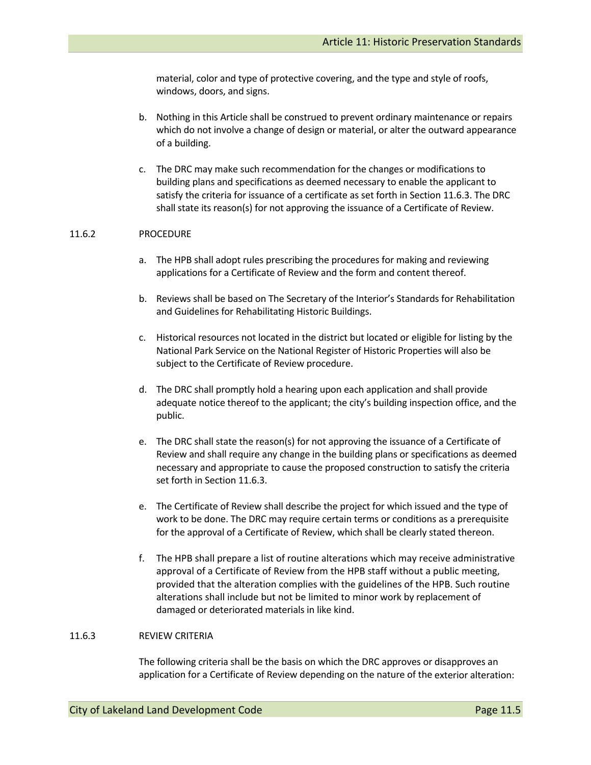material, color and type of protective covering, and the type and style of roofs, windows, doors, and signs.

- b. Nothing in this Article shall be construed to prevent ordinary maintenance or repairs which do not involve a change of design or material, or alter the outward appearance of a building.
- c. The DRC may make such recommendation for the changes or modifications to building plans and specifications as deemed necessary to enable the applicant to satisfy the criteria for issuance of a certificate as set forth in Section 11.6.3. The DRC shall state its reason(s) for not approving the issuance of a Certificate of Review.

#### 11.6.2 PROCEDURE

- a. The HPB shall adopt rules prescribing the procedures for making and reviewing applications for a Certificate of Review and the form and content thereof.
- b. Reviews shall be based on The Secretary of the Interior's Standards for Rehabilitation and Guidelines for Rehabilitating Historic Buildings.
- c. Historical resources not located in the district but located or eligible for listing by the National Park Service on the National Register of Historic Properties will also be subject to the Certificate of Review procedure.
- d. The DRC shall promptly hold a hearing upon each application and shall provide adequate notice thereof to the applicant; the city's building inspection office, and the public.
- e. The DRC shall state the reason(s) for not approving the issuance of a Certificate of Review and shall require any change in the building plans or specifications as deemed necessary and appropriate to cause the proposed construction to satisfy the criteria set forth in Section 11.6.3.
- e. The Certificate of Review shall describe the project for which issued and the type of work to be done. The DRC may require certain terms or conditions as a prerequisite for the approval of a Certificate of Review, which shall be clearly stated thereon.
- f. The HPB shall prepare a list of routine alterations which may receive administrative approval of a Certificate of Review from the HPB staff without a public meeting, provided that the alteration complies with the guidelines of the HPB. Such routine alterations shall include but not be limited to minor work by replacement of damaged or deteriorated materials in like kind.

#### 11.6.3 REVIEW CRITERIA

The following criteria shall be the basis on which the DRC approves or disapproves an application for a Certificate of Review depending on the nature of the exterior alteration: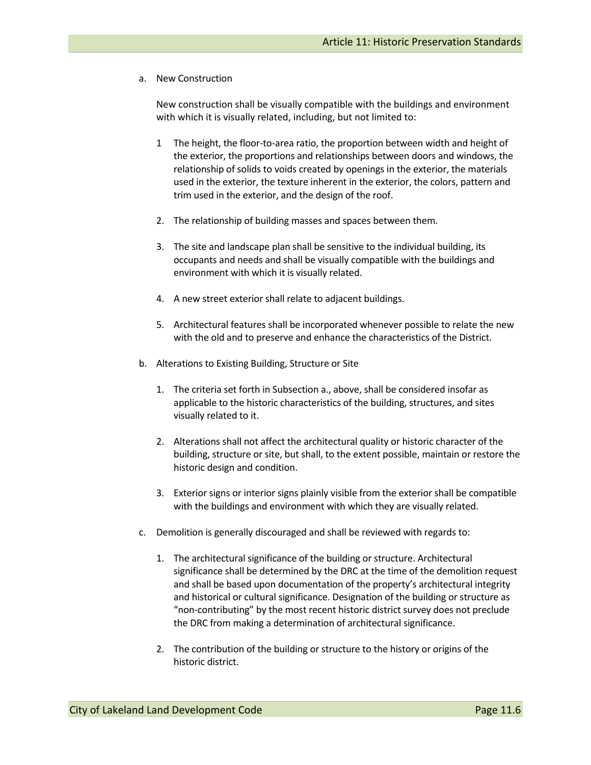a. New Construction

New construction shall be visually compatible with the buildings and environment with which it is visually related, including, but not limited to:

- 1 The height, the floor-to-area ratio, the proportion between width and height of the exterior, the proportions and relationships between doors and windows, the relationship of solids to voids created by openings in the exterior, the materials used in the exterior, the texture inherent in the exterior, the colors, pattern and trim used in the exterior, and the design of the roof.
- 2. The relationship of building masses and spaces between them.
- 3. The site and landscape plan shall be sensitive to the individual building, its occupants and needs and shall be visually compatible with the buildings and environment with which it is visually related.
- 4. A new street exterior shall relate to adjacent buildings.
- 5. Architectural features shall be incorporated whenever possible to relate the new with the old and to preserve and enhance the characteristics of the District.
- b. Alterations to Existing Building, Structure or Site
	- 1. The criteria set forth in Subsection a., above, shall be considered insofar as applicable to the historic characteristics of the building, structures, and sites visually related to it.
	- 2. Alterations shall not affect the architectural quality or historic character of the building, structure or site, but shall, to the extent possible, maintain or restore the historic design and condition.
	- 3. Exterior signs or interior signs plainly visible from the exterior shall be compatible with the buildings and environment with which they are visually related.
- c. Demolition is generally discouraged and shall be reviewed with regards to:
	- 1. The architectural significance of the building or structure. Architectural significance shall be determined by the DRC at the time of the demolition request and shall be based upon documentation of the property's architectural integrity and historical or cultural significance. Designation of the building or structure as "non‐contributing" by the most recent historic district survey does not preclude the DRC from making a determination of architectural significance.
	- 2. The contribution of the building or structure to the history or origins of the historic district.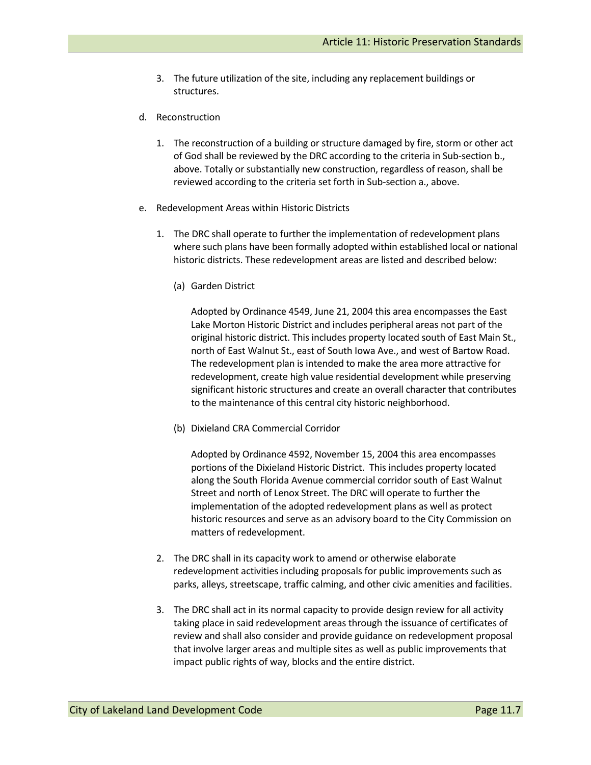- 3. The future utilization of the site, including any replacement buildings or structures.
- d. Reconstruction
	- 1. The reconstruction of a building or structure damaged by fire, storm or other act of God shall be reviewed by the DRC according to the criteria in Sub‐section b., above. Totally or substantially new construction, regardless of reason, shall be reviewed according to the criteria set forth in Sub‐section a., above.
- e. Redevelopment Areas within Historic Districts
	- 1. The DRC shall operate to further the implementation of redevelopment plans where such plans have been formally adopted within established local or national historic districts. These redevelopment areas are listed and described below:
		- (a) Garden District

Adopted by Ordinance 4549, June 21, 2004 this area encompasses the East Lake Morton Historic District and includes peripheral areas not part of the original historic district. This includes property located south of East Main St., north of East Walnut St., east of South Iowa Ave., and west of Bartow Road. The redevelopment plan is intended to make the area more attractive for redevelopment, create high value residential development while preserving significant historic structures and create an overall character that contributes to the maintenance of this central city historic neighborhood.

(b) Dixieland CRA Commercial Corridor

Adopted by Ordinance 4592, November 15, 2004 this area encompasses portions of the Dixieland Historic District. This includes property located along the South Florida Avenue commercial corridor south of East Walnut Street and north of Lenox Street. The DRC will operate to further the implementation of the adopted redevelopment plans as well as protect historic resources and serve as an advisory board to the City Commission on matters of redevelopment.

- 2. The DRC shall in its capacity work to amend or otherwise elaborate redevelopment activities including proposals for public improvements such as parks, alleys, streetscape, traffic calming, and other civic amenities and facilities.
- 3. The DRC shall act in its normal capacity to provide design review for all activity taking place in said redevelopment areas through the issuance of certificates of review and shall also consider and provide guidance on redevelopment proposal that involve larger areas and multiple sites as well as public improvements that impact public rights of way, blocks and the entire district.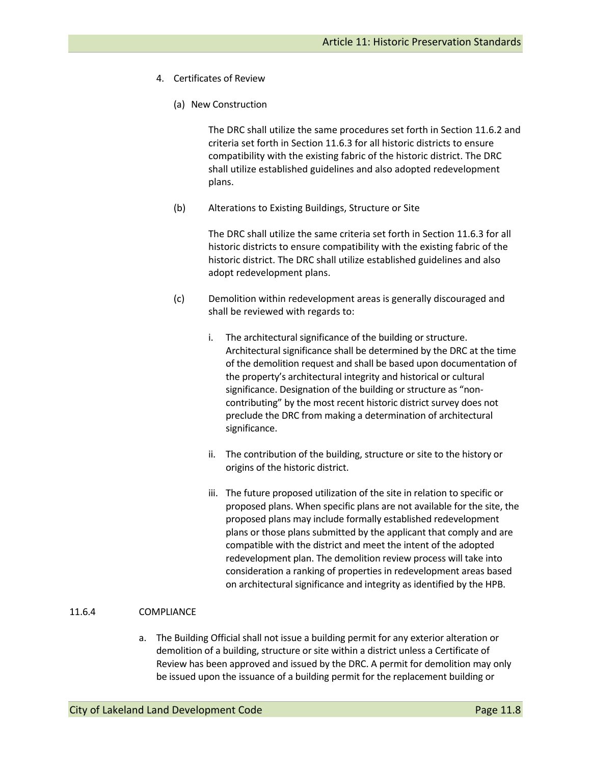- 4. Certificates of Review
	- (a) New Construction

The DRC shall utilize the same procedures set forth in Section 11.6.2 and criteria set forth in Section 11.6.3 for all historic districts to ensure compatibility with the existing fabric of the historic district. The DRC shall utilize established guidelines and also adopted redevelopment plans.

(b) Alterations to Existing Buildings, Structure or Site

The DRC shall utilize the same criteria set forth in Section 11.6.3 for all historic districts to ensure compatibility with the existing fabric of the historic district. The DRC shall utilize established guidelines and also adopt redevelopment plans.

- (c) Demolition within redevelopment areas is generally discouraged and shall be reviewed with regards to:
	- i. The architectural significance of the building or structure. Architectural significance shall be determined by the DRC at the time of the demolition request and shall be based upon documentation of the property's architectural integrity and historical or cultural significance. Designation of the building or structure as "noncontributing" by the most recent historic district survey does not preclude the DRC from making a determination of architectural significance.
	- ii. The contribution of the building, structure or site to the history or origins of the historic district.
	- iii. The future proposed utilization of the site in relation to specific or proposed plans. When specific plans are not available for the site, the proposed plans may include formally established redevelopment plans or those plans submitted by the applicant that comply and are compatible with the district and meet the intent of the adopted redevelopment plan. The demolition review process will take into consideration a ranking of properties in redevelopment areas based on architectural significance and integrity as identified by the HPB.

#### 11.6.4 COMPLIANCE

a. The Building Official shall not issue a building permit for any exterior alteration or demolition of a building, structure or site within a district unless a Certificate of Review has been approved and issued by the DRC. A permit for demolition may only be issued upon the issuance of a building permit for the replacement building or